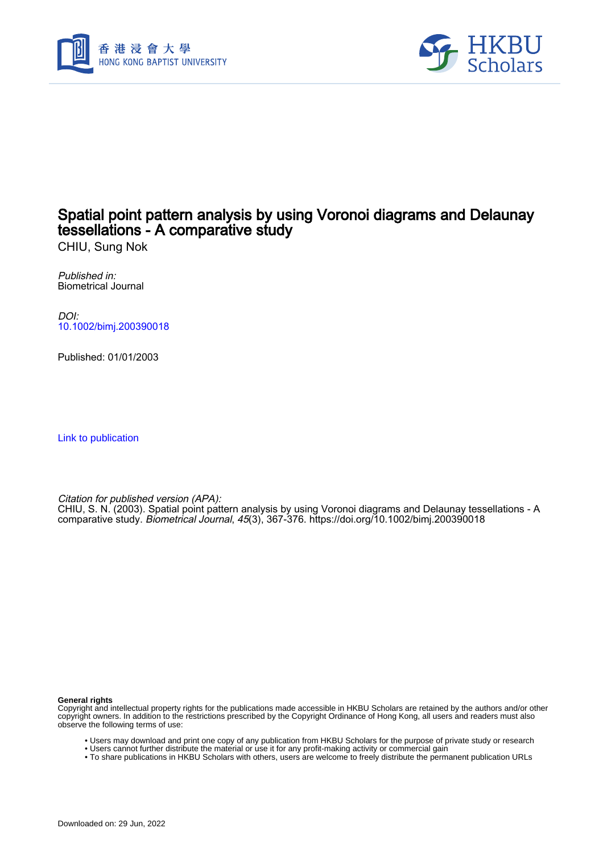



## Spatial point pattern analysis by using Voronoi diagrams and Delaunay tessellations - A comparative study

CHIU, Sung Nok

Published in: Biometrical Journal

DOI: [10.1002/bimj.200390018](https://doi.org/10.1002/bimj.200390018)

Published: 01/01/2003

[Link to publication](https://scholars.hkbu.edu.hk/en/publications/b9998315-1590-4c2e-a8d2-bf16d9481b11)

Citation for published version (APA):

CHIU, S. N. (2003). Spatial point pattern analysis by using Voronoi diagrams and Delaunay tessellations - A comparative study. Biometrical Journal, 45(3), 367-376.<https://doi.org/10.1002/bimj.200390018>

**General rights**

Copyright and intellectual property rights for the publications made accessible in HKBU Scholars are retained by the authors and/or other copyright owners. In addition to the restrictions prescribed by the Copyright Ordinance of Hong Kong, all users and readers must also observe the following terms of use:

- Users may download and print one copy of any publication from HKBU Scholars for the purpose of private study or research
- Users cannot further distribute the material or use it for any profit-making activity or commercial gain
- To share publications in HKBU Scholars with others, users are welcome to freely distribute the permanent publication URLs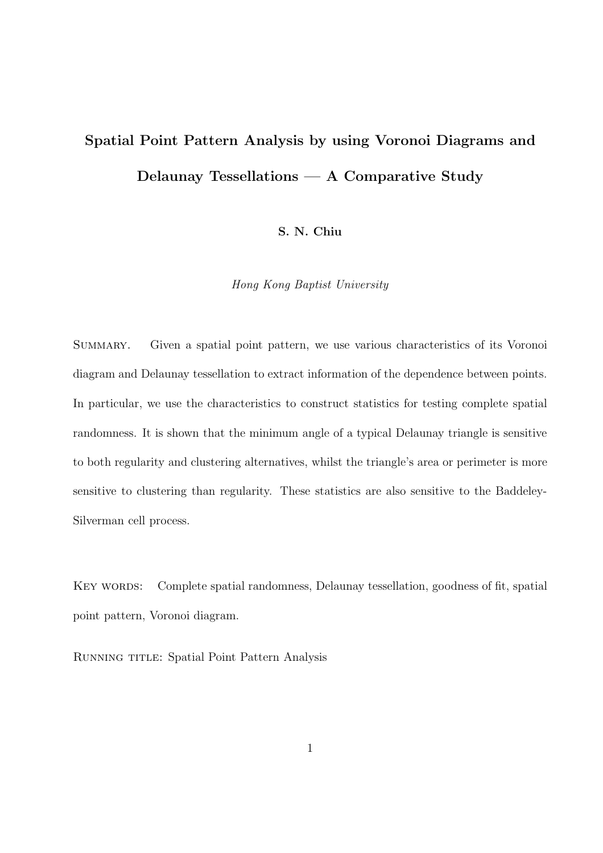# **Spatial Point Pattern Analysis by using Voronoi Diagrams and Delaunay Tessellations — A Comparative Study**

**S. N. Chiu**

*Hong Kong Baptist University*

Summary. Given a spatial point pattern, we use various characteristics of its Voronoi diagram and Delaunay tessellation to extract information of the dependence between points. In particular, we use the characteristics to construct statistics for testing complete spatial randomness. It is shown that the minimum angle of a typical Delaunay triangle is sensitive to both regularity and clustering alternatives, whilst the triangle's area or perimeter is more sensitive to clustering than regularity. These statistics are also sensitive to the Baddeley-Silverman cell process.

KEY WORDS: Complete spatial randomness, Delaunay tessellation, goodness of fit, spatial point pattern, Voronoi diagram.

RUNNING TITLE: Spatial Point Pattern Analysis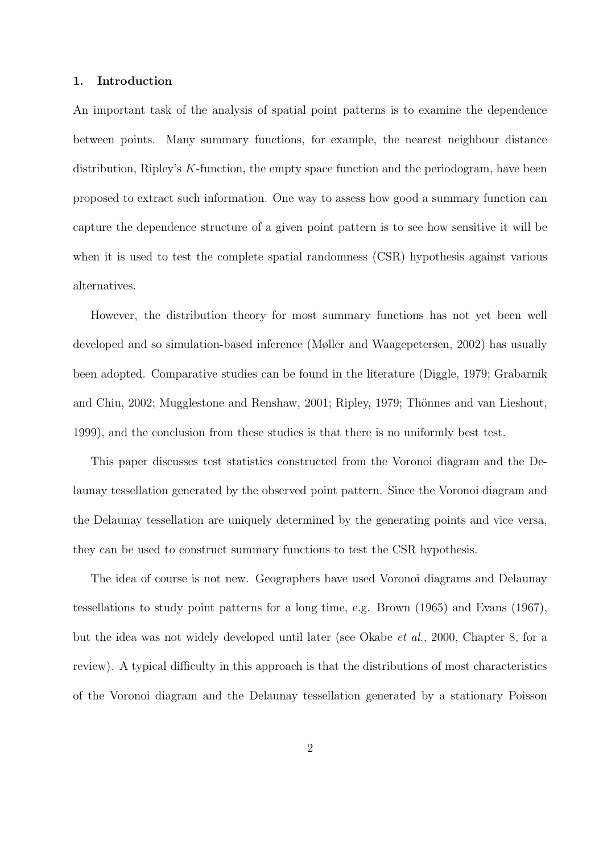#### **1. Introduction**

An important task of the analysis of spatial point patterns is to examine the dependence between points. Many summary functions, for example, the nearest neighbour distance distribution, Ripley's K-function, the empty space function and the periodogram, have been proposed to extract such information. One way to assess how good a summary function can capture the dependence structure of a given point pattern is to see how sensitive it will be when it is used to test the complete spatial randomness (CSR) hypothesis against various alternatives.

However, the distribution theory for most summary functions has not yet been well developed and so simulation-based inference (Møller and Waagepetersen, 2002) has usually been adopted. Comparative studies can be found in the literature (Diggle, 1979; Grabarnik and Chiu, 2002; Mugglestone and Renshaw, 2001; Ripley, 1979; Thönnes and van Lieshout, 1999), and the conclusion from these studies is that there is no uniformly best test.

This paper discusses test statistics constructed from the Voronoi diagram and the Delaunay tessellation generated by the observed point pattern. Since the Voronoi diagram and the Delaunay tessellation are uniquely determined by the generating points and vice versa, they can be used to construct summary functions to test the CSR hypothesis.

The idea of course is not new. Geographers have used Voronoi diagrams and Delaunay tessellations to study point patterns for a long time, e.g. Brown (1965) and Evans (1967), but the idea was not widely developed until later (see Okabe *et al.*, 2000, Chapter 8, for a review). A typical difficulty in this approach is that the distributions of most characteristics of the Voronoi diagram and the Delaunay tessellation generated by a stationary Poisson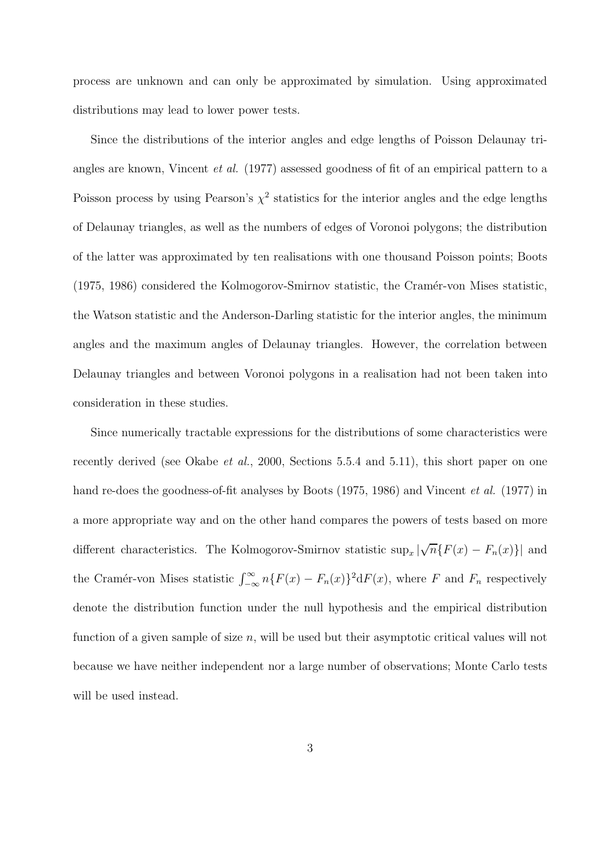process are unknown and can only be approximated by simulation. Using approximated distributions may lead to lower power tests.

Since the distributions of the interior angles and edge lengths of Poisson Delaunay triangles are known, Vincent *et al.* (1977) assessed goodness of fit of an empirical pattern to a Poisson process by using Pearson's  $\chi^2$  statistics for the interior angles and the edge lengths of Delaunay triangles, as well as the numbers of edges of Voronoi polygons; the distribution of the latter was approximated by ten realisations with one thousand Poisson points; Boots (1975, 1986) considered the Kolmogorov-Smirnov statistic, the Cram´er-von Mises statistic, the Watson statistic and the Anderson-Darling statistic for the interior angles, the minimum angles and the maximum angles of Delaunay triangles. However, the correlation between Delaunay triangles and between Voronoi polygons in a realisation had not been taken into consideration in these studies.

Since numerically tractable expressions for the distributions of some characteristics were recently derived (see Okabe *et al.*, 2000, Sections 5.5.4 and 5.11), this short paper on one hand re-does the goodness-of-fit analyses by Boots (1975, 1986) and Vincent *et al.* (1977) in a more appropriate way and on the other hand compares the powers of tests based on more different characteristics. The Kolmogorov-Smirnov statistic  $\sup_x |$ √ $\overline{n}\{F(x) - F_n(x)\}\|$  and the Cramér-von Mises statistic  $\int_{-\infty}^{\infty} n\{F(x) - F_n(x)\}^2 dF(x)$ , where F and  $F_n$  respectively denote the distribution function under the null hypothesis and the empirical distribution function of a given sample of size  $n$ , will be used but their asymptotic critical values will not because we have neither independent nor a large number of observations; Monte Carlo tests will be used instead.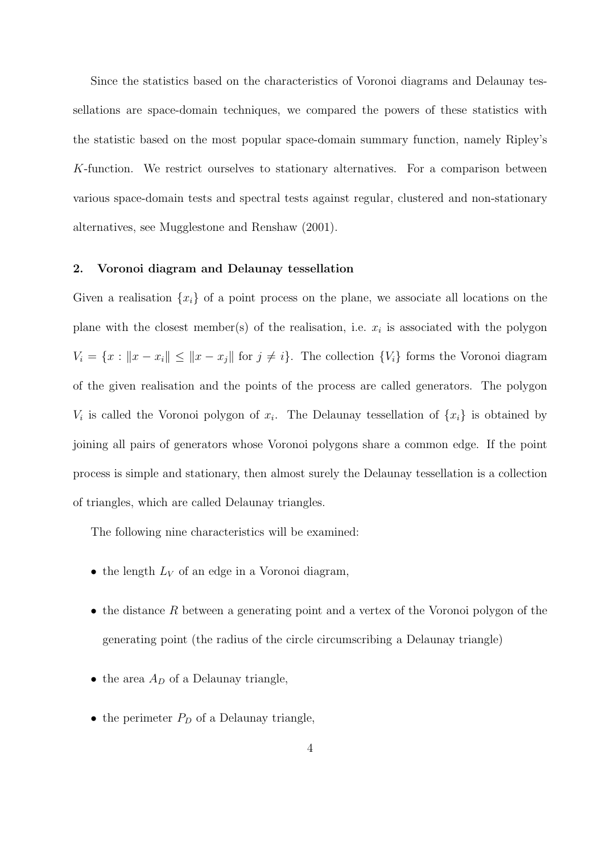Since the statistics based on the characteristics of Voronoi diagrams and Delaunay tessellations are space-domain techniques, we compared the powers of these statistics with the statistic based on the most popular space-domain summary function, namely Ripley's K-function. We restrict ourselves to stationary alternatives. For a comparison between various space-domain tests and spectral tests against regular, clustered and non-stationary alternatives, see Mugglestone and Renshaw (2001).

#### **2. Voronoi diagram and Delaunay tessellation**

Given a realisation  $\{x_i\}$  of a point process on the plane, we associate all locations on the plane with the closest member(s) of the realisation, i.e.  $x_i$  is associated with the polygon  $V_i = \{x : ||x - x_i|| \le ||x - x_j||$  for  $j \neq i\}$ . The collection  $\{V_i\}$  forms the Voronoi diagram of the given realisation and the points of the process are called generators. The polygon  $V_i$  is called the Voronoi polygon of  $x_i$ . The Delaunay tessellation of  $\{x_i\}$  is obtained by joining all pairs of generators whose Voronoi polygons share a common edge. If the point process is simple and stationary, then almost surely the Delaunay tessellation is a collection of triangles, which are called Delaunay triangles.

The following nine characteristics will be examined:

- the length  $L_V$  of an edge in a Voronoi diagram,
- the distance R between a generating point and a vertex of the Voronoi polygon of the generating point (the radius of the circle circumscribing a Delaunay triangle)
- the area  $A_D$  of a Delaunay triangle,
- the perimeter  $P_D$  of a Delaunay triangle,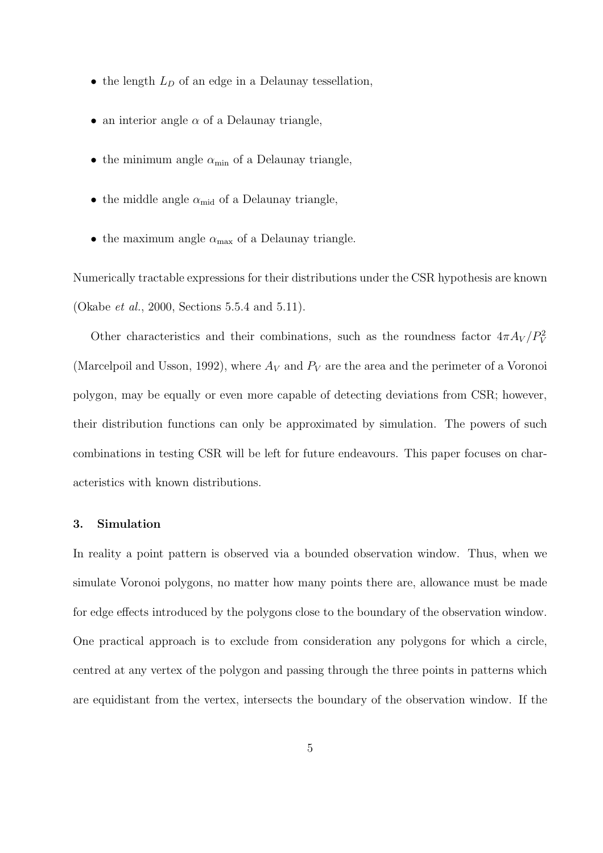- the length  $L_D$  of an edge in a Delaunay tessellation,
- an interior angle  $\alpha$  of a Delaunay triangle,
- the minimum angle  $\alpha_{\min}$  of a Delaunay triangle,
- the middle angle  $\alpha_{mid}$  of a Delaunay triangle,
- the maximum angle  $\alpha_{\text{max}}$  of a Delaunay triangle.

Numerically tractable expressions for their distributions under the CSR hypothesis are known (Okabe *et al.*, 2000, Sections 5.5.4 and 5.11).

Other characteristics and their combinations, such as the roundness factor  $4\pi A_V/P_V^2$ (Marcelpoil and Usson, 1992), where  $A_V$  and  $P_V$  are the area and the perimeter of a Voronoi polygon, may be equally or even more capable of detecting deviations from CSR; however, their distribution functions can only be approximated by simulation. The powers of such combinations in testing CSR will be left for future endeavours. This paper focuses on characteristics with known distributions.

#### **3. Simulation**

In reality a point pattern is observed via a bounded observation window. Thus, when we simulate Voronoi polygons, no matter how many points there are, allowance must be made for edge effects introduced by the polygons close to the boundary of the observation window. One practical approach is to exclude from consideration any polygons for which a circle, centred at any vertex of the polygon and passing through the three points in patterns which are equidistant from the vertex, intersects the boundary of the observation window. If the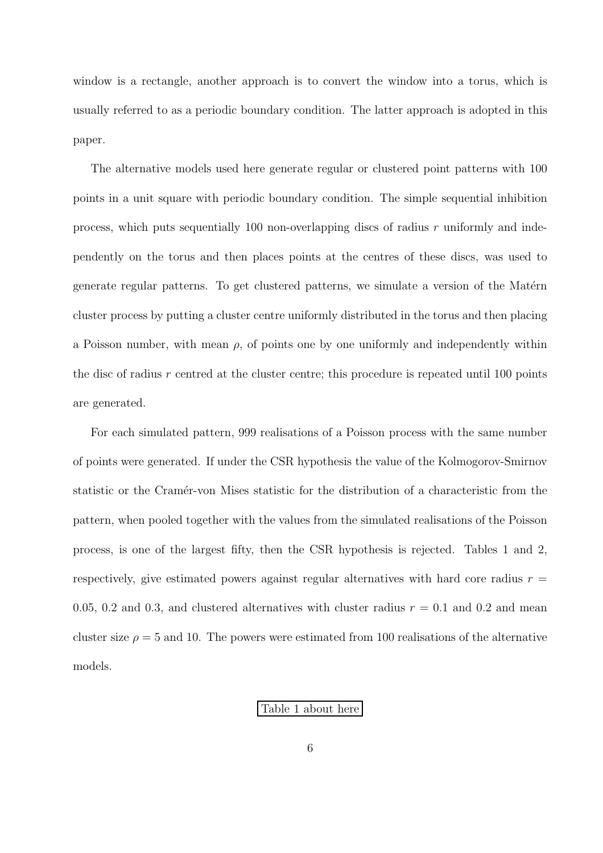window is a rectangle, another approach is to convert the window into a torus, which is usually referred to as a periodic boundary condition. The latter approach is adopted in this paper.

The alternative models used here generate regular or clustered point patterns with 100 points in a unit square with periodic boundary condition. The simple sequential inhibition process, which puts sequentially 100 non-overlapping discs of radius r uniformly and independently on the torus and then places points at the centres of these discs, was used to generate regular patterns. To get clustered patterns, we simulate a version of the Matérn cluster process by putting a cluster centre uniformly distributed in the torus and then placing a Poisson number, with mean  $\rho$ , of points one by one uniformly and independently within the disc of radius  $r$  centred at the cluster centre; this procedure is repeated until 100 points are generated.

For each simulated pattern, 999 realisations of a Poisson process with the same number of points were generated. If under the CSR hypothesis the value of the Kolmogorov-Smirnov statistic or the Cramer-von Mises statistic for the distribution of a characteristic from the pattern, when pooled together with the values from the simulated realisations of the Poisson process, is one of the largest fifty, then the CSR hypothesis is rejected. Tables 1 and 2, respectively, give estimated powers against regular alternatives with hard core radius  $r =$ 0.05, 0.2 and 0.3, and clustered alternatives with cluster radius  $r = 0.1$  and 0.2 and mean cluster size  $\rho = 5$  and 10. The powers were estimated from 100 realisations of the alternative models.

Table 1 about here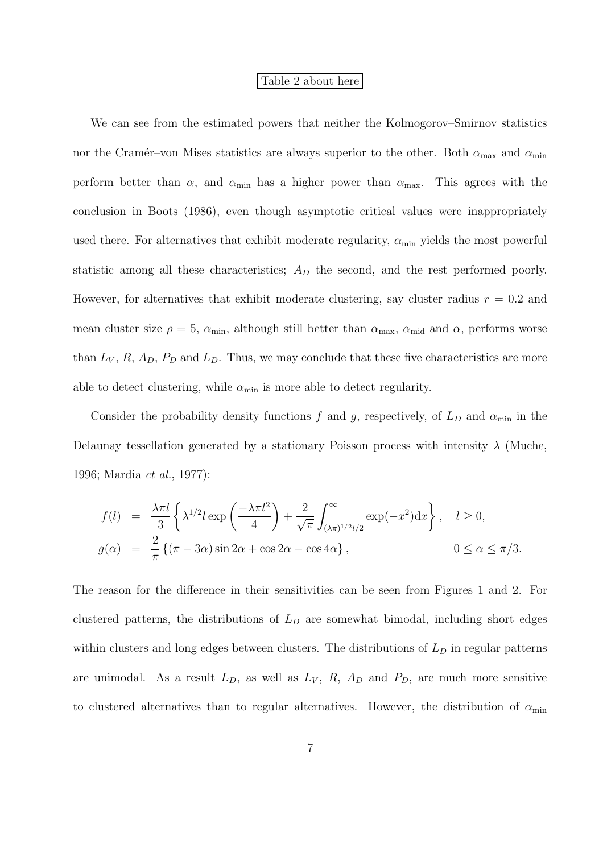### Table 2 about here

We can see from the estimated powers that neither the Kolmogorov–Smirnov statistics nor the Cramér–von Mises statistics are always superior to the other. Both  $\alpha_{\text{max}}$  and  $\alpha_{\text{min}}$ perform better than  $\alpha$ , and  $\alpha_{\min}$  has a higher power than  $\alpha_{\max}$ . This agrees with the conclusion in Boots (1986), even though asymptotic critical values were inappropriately used there. For alternatives that exhibit moderate regularity,  $\alpha_{\min}$  yields the most powerful statistic among all these characteristics;  $A<sub>D</sub>$  the second, and the rest performed poorly. However, for alternatives that exhibit moderate clustering, say cluster radius  $r = 0.2$  and mean cluster size  $\rho = 5$ ,  $\alpha_{\min}$ , although still better than  $\alpha_{\max}$ ,  $\alpha_{\min}$  and  $\alpha$ , performs worse than  $L_V$ , R,  $A_D$ ,  $P_D$  and  $L_D$ . Thus, we may conclude that these five characteristics are more able to detect clustering, while  $\alpha_{\min}$  is more able to detect regularity.

Consider the probability density functions f and g, respectively, of  $L_D$  and  $\alpha_{\min}$  in the Delaunay tessellation generated by a stationary Poisson process with intensity  $\lambda$  (Muche, 1996; Mardia *et al.*, 1977):

$$
f(l) = \frac{\lambda \pi l}{3} \left\{ \lambda^{1/2} l \exp\left(\frac{-\lambda \pi l^2}{4}\right) + \frac{2}{\sqrt{\pi}} \int_{(\lambda \pi)^{1/2} l/2}^{\infty} \exp(-x^2) dx \right\}, \quad l \ge 0,
$$
  

$$
g(\alpha) = \frac{2}{\pi} \left\{ (\pi - 3\alpha) \sin 2\alpha + \cos 2\alpha - \cos 4\alpha \right\}, \qquad 0 \le \alpha \le \pi/3.
$$

The reason for the difference in their sensitivities can be seen from Figures 1 and 2. For clustered patterns, the distributions of  $L<sub>D</sub>$  are somewhat bimodal, including short edges within clusters and long edges between clusters. The distributions of  $L<sub>D</sub>$  in regular patterns are unimodal. As a result  $L_D$ , as well as  $L_V$ ,  $R$ ,  $A_D$  and  $P_D$ , are much more sensitive to clustered alternatives than to regular alternatives. However, the distribution of  $\alpha_{\min}$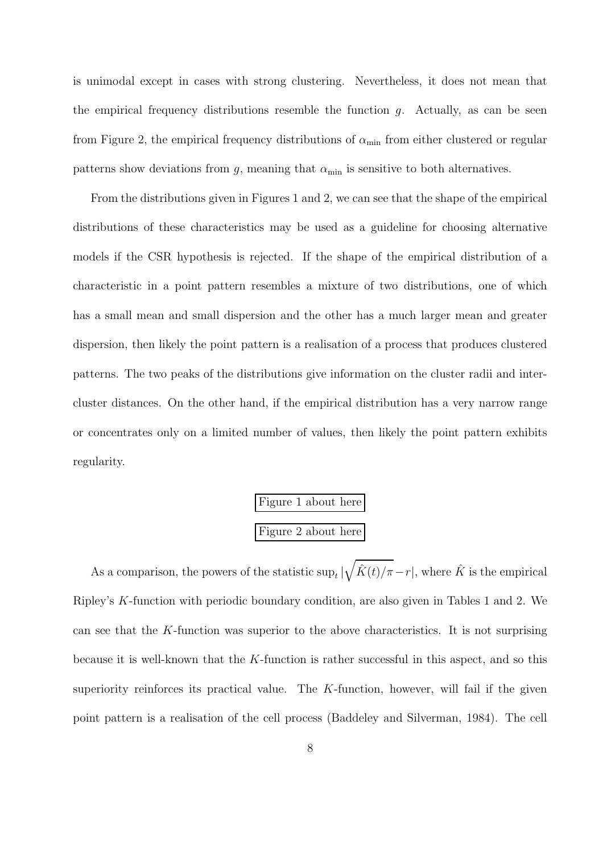is unimodal except in cases with strong clustering. Nevertheless, it does not mean that the empirical frequency distributions resemble the function  $q$ . Actually, as can be seen from Figure 2, the empirical frequency distributions of  $\alpha_{\min}$  from either clustered or regular patterns show deviations from g, meaning that  $\alpha_{\min}$  is sensitive to both alternatives.

From the distributions given in Figures 1 and 2, we can see that the shape of the empirical distributions of these characteristics may be used as a guideline for choosing alternative models if the CSR hypothesis is rejected. If the shape of the empirical distribution of a characteristic in a point pattern resembles a mixture of two distributions, one of which has a small mean and small dispersion and the other has a much larger mean and greater dispersion, then likely the point pattern is a realisation of a process that produces clustered patterns. The two peaks of the distributions give information on the cluster radii and intercluster distances. On the other hand, if the empirical distribution has a very narrow range or concentrates only on a limited number of values, then likely the point pattern exhibits regularity.

> $\overline{\text{Figure 1} }$  about here Figure 2 about here

As a comparison, the powers of the statistic  $\sup_t |\sqrt{\hat{K}(t)/\pi} - r|$ , where  $\hat{K}$  is the empirical Ripley's K-function with periodic boundary condition, are also given in Tables 1 and 2. We can see that the K-function was superior to the above characteristics. It is not surprising because it is well-known that the K-function is rather successful in this aspect, and so this superiority reinforces its practical value. The  $K$ -function, however, will fail if the given point pattern is a realisation of the cell process (Baddeley and Silverman, 1984). The cell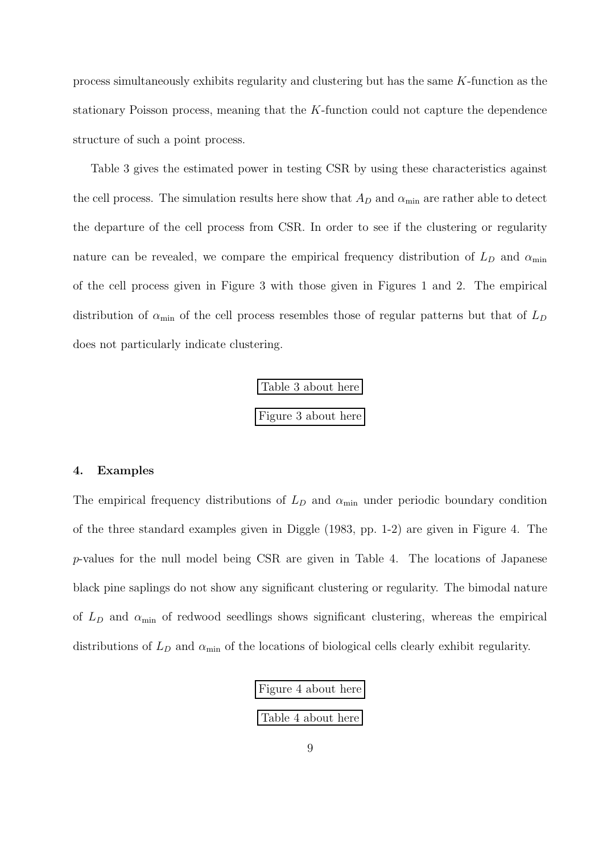process simultaneously exhibits regularity and clustering but has the same K-function as the stationary Poisson process, meaning that the K-function could not capture the dependence structure of such a point process.

Table 3 gives the estimated power in testing CSR by using these characteristics against the cell process. The simulation results here show that  $A_D$  and  $\alpha_{\min}$  are rather able to detect the departure of the cell process from CSR. In order to see if the clustering or regularity nature can be revealed, we compare the empirical frequency distribution of  $L_D$  and  $\alpha_{\rm min}$ of the cell process given in Figure 3 with those given in Figures 1 and 2. The empirical distribution of  $\alpha_{\min}$  of the cell process resembles those of regular patterns but that of  $L_D$ does not particularly indicate clustering.



#### **4. Examples**

The empirical frequency distributions of  $L_D$  and  $\alpha_{\min}$  under periodic boundary condition of the three standard examples given in Diggle (1983, pp. 1-2) are given in Figure 4. The p-values for the null model being CSR are given in Table 4. The locations of Japanese black pine saplings do not show any significant clustering or regularity. The bimodal nature of  $L<sub>D</sub>$  and  $\alpha_{\min}$  of redwood seedlings shows significant clustering, whereas the empirical distributions of  $L<sub>D</sub>$  and  $\alpha<sub>min</sub>$  of the locations of biological cells clearly exhibit regularity.

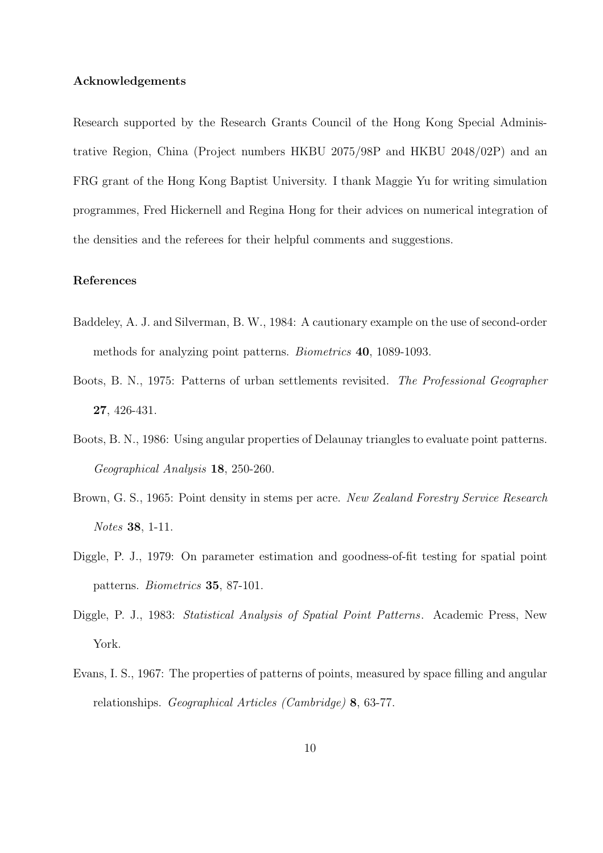#### **Acknowledgements**

Research supported by the Research Grants Council of the Hong Kong Special Administrative Region, China (Project numbers HKBU 2075/98P and HKBU 2048/02P) and an FRG grant of the Hong Kong Baptist University. I thank Maggie Yu for writing simulation programmes, Fred Hickernell and Regina Hong for their advices on numerical integration of the densities and the referees for their helpful comments and suggestions.

#### **References**

- Baddeley, A. J. and Silverman, B. W., 1984: A cautionary example on the use of second-order methods for analyzing point patterns. *Biometrics* **40**, 1089-1093.
- Boots, B. N., 1975: Patterns of urban settlements revisited. *The Professional Geographer* **27**, 426-431.
- Boots, B. N., 1986: Using angular properties of Delaunay triangles to evaluate point patterns. *Geographical Analysis* **18**, 250-260.
- Brown, G. S., 1965: Point density in stems per acre. *New Zealand Forestry Service Research Notes* **38**, 1-11.
- Diggle, P. J., 1979: On parameter estimation and goodness-of-fit testing for spatial point patterns. *Biometrics* **35**, 87-101.
- Diggle, P. J., 1983: *Statistical Analysis of Spatial Point Patterns*. Academic Press, New York.
- Evans, I. S., 1967: The properties of patterns of points, measured by space filling and angular relationships. *Geographical Articles (Cambridge)* **8**, 63-77.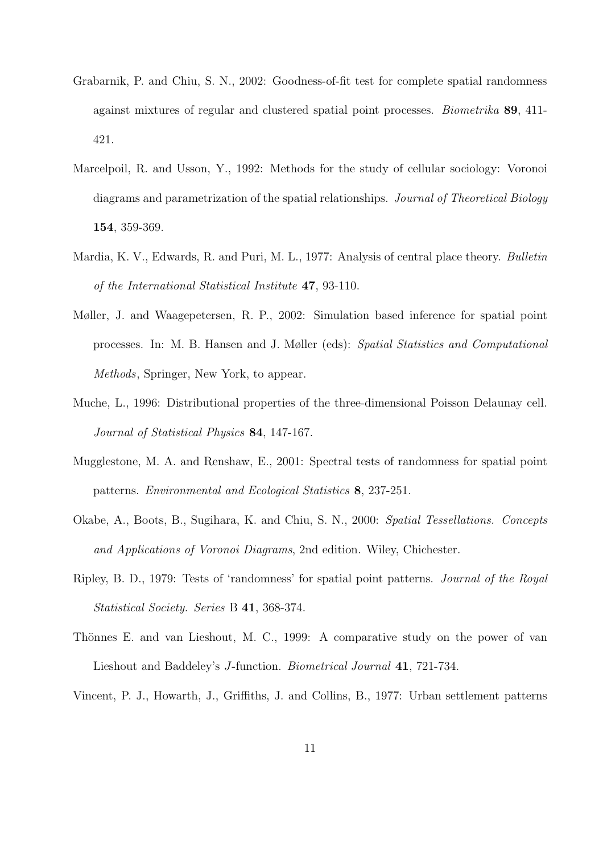- Grabarnik, P. and Chiu, S. N., 2002: Goodness-of-fit test for complete spatial randomness against mixtures of regular and clustered spatial point processes. *Biometrika* **89**, 411- 421.
- Marcelpoil, R. and Usson, Y., 1992: Methods for the study of cellular sociology: Voronoi diagrams and parametrization of the spatial relationships. *Journal of Theoretical Biology* **154**, 359-369.
- Mardia, K. V., Edwards, R. and Puri, M. L., 1977: Analysis of central place theory. *Bulletin of the International Statistical Institute* **47**, 93-110.
- Møller, J. and Waagepetersen, R. P., 2002: Simulation based inference for spatial point processes. In: M. B. Hansen and J. Møller (eds): *Spatial Statistics and Computational Methods*, Springer, New York, to appear.
- Muche, L., 1996: Distributional properties of the three-dimensional Poisson Delaunay cell. *Journal of Statistical Physics* **84**, 147-167.
- Mugglestone, M. A. and Renshaw, E., 2001: Spectral tests of randomness for spatial point patterns. *Environmental and Ecological Statistics* **8**, 237-251.
- Okabe, A., Boots, B., Sugihara, K. and Chiu, S. N., 2000: *Spatial Tessellations. Concepts and Applications of Voronoi Diagrams*, 2nd edition. Wiley, Chichester.
- Ripley, B. D., 1979: Tests of 'randomness' for spatial point patterns. *Journal of the Royal Statistical Society. Series* B **41**, 368-374.
- Thönnes E. and van Lieshout, M. C., 1999: A comparative study on the power of van Lieshout and Baddeley's J-function. *Biometrical Journal* **<sup>41</sup>**, 721-734.
- Vincent, P. J., Howarth, J., Griffiths, J. and Collins, B., 1977: Urban settlement patterns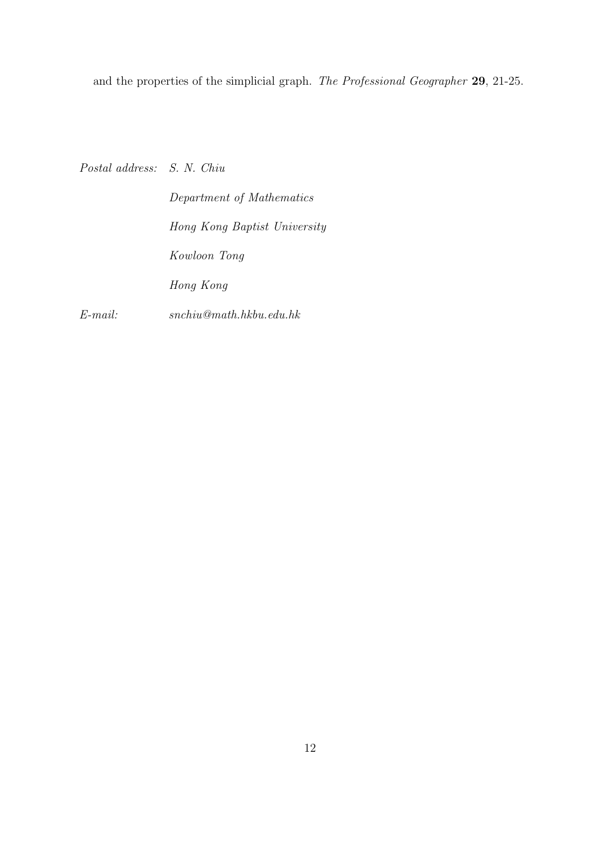and the properties of the simplicial graph. *The Professional Geographer* **29**, 21-25.

*Postal address: S. N. Chiu*

*Department of Mathematics Hong Kong Baptist University Kowloon Tong Hong Kong*

*E-mail: snchiu@math.hkbu.edu.hk*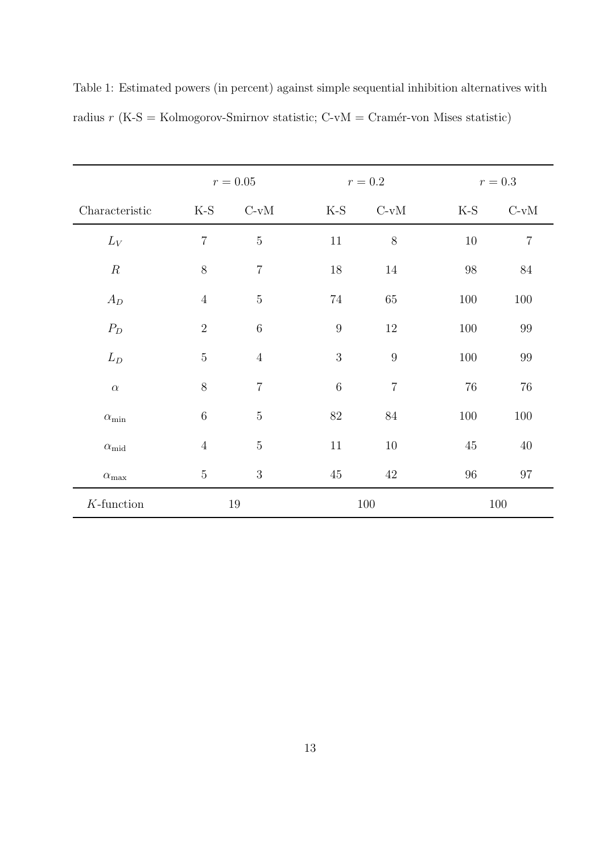|                    | $r=0.05\,$     |                |                  | $r=0.2$        | $r=0.3$ |                |  |  |
|--------------------|----------------|----------------|------------------|----------------|---------|----------------|--|--|
| Characteristic     | $K-S$          | $C-vM$         | $K-S$            | $C-vM$         | $K-S$   | $C-vM$         |  |  |
| $L_V$              | $\overline{7}$ | $\bf 5$        | $11\,$           | $8\,$          | $10\,$  | $\overline{7}$ |  |  |
| $\cal R$           | $8\,$          | $\overline{7}$ | 18               | 14             | 98      | 84             |  |  |
| $A_D$              | $\sqrt{4}$     | $\bf 5$        | 74               | 65             | 100     | 100            |  |  |
| $P_D$              | $\overline{2}$ | $\,6\,$        | $\boldsymbol{9}$ | 12             | 100     | 99             |  |  |
| $L_D$              | $\bf 5$        | $\overline{4}$ | 3                | 9              | 100     | 99             |  |  |
| $\alpha$           | $8\,$          | $\overline{7}$ | $\overline{6}$   | $\overline{7}$ | $76\,$  | 76             |  |  |
| $\alpha_{\rm min}$ | $\,6\,$        | $\mathbf 5$    | $82\,$           | $84\,$         | $100\,$ | 100            |  |  |
| $\alpha_{\rm mid}$ | $\sqrt{4}$     | $\bf 5$        | $11\,$           | $10\,$         | $45\,$  | $40\,$         |  |  |
| $\alpha_{\rm max}$ | $\mathbf 5$    | 3              | 45               | 42             | 96      | $97\,$         |  |  |
| $K$ -function      |                | 19             |                  | 100            |         | 100            |  |  |

Table 1: Estimated powers (in percent) against simple sequential inhibition alternatives with radius  $r$  (K-S = Kolmogorov-Smirnov statistic; C-vM = Cramér-von Mises statistic)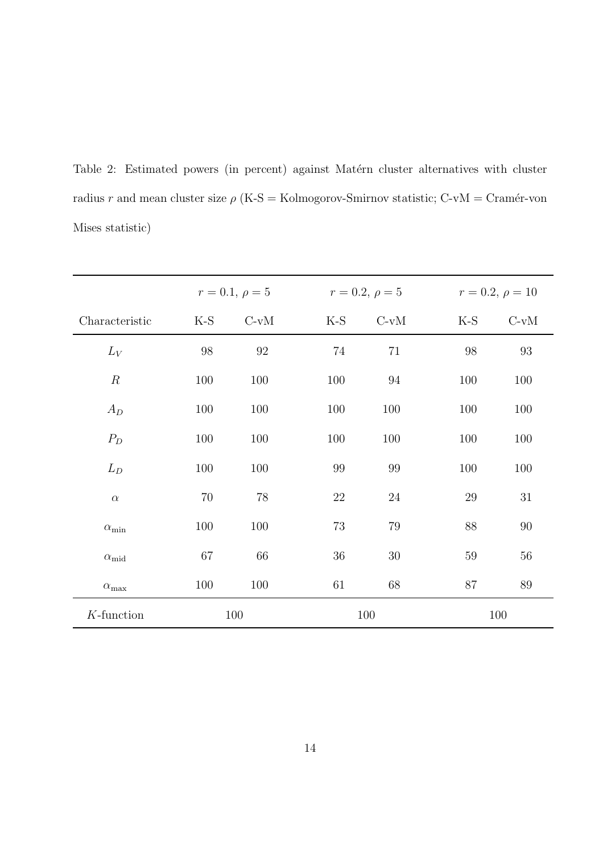Table 2: Estimated powers (in percent) against Matérn cluster alternatives with cluster radius r and mean cluster size  $\rho$  (K-S = Kolmogorov-Smirnov statistic; C-vM = Cramér-von Mises statistic)

|                    |        | $r = 0.1, \rho = 5$<br>$r = 0.2, \rho = 5$ |        |        | $r = 0.2, \rho = 10$ |        |  |  |
|--------------------|--------|--------------------------------------------|--------|--------|----------------------|--------|--|--|
| Characteristic     | K-S    | $C-vM$                                     | $K-S$  | $C-vM$ | K-S                  | $C-vM$ |  |  |
| $L_V$              | $98\,$ | $\rm 92$                                   | 74     | 71     | $98\,$               | 93     |  |  |
| $\boldsymbol{R}$   | 100    | 100                                        | 100    | 94     | 100                  | 100    |  |  |
| $A_D$              | 100    | 100                                        | 100    | 100    | 100                  | 100    |  |  |
| $P_D$              | 100    | 100                                        | 100    | 100    | 100                  | 100    |  |  |
| $L_D$              | 100    | 100                                        | 99     | 99     | 100                  | 100    |  |  |
| $\alpha$           | $70\,$ | 78                                         | $22\,$ | $24\,$ | $29\,$               | 31     |  |  |
| $\alpha_{\rm min}$ | 100    | 100                                        | 73     | 79     | 88                   | 90     |  |  |
| $\alpha_{\rm mid}$ | $67\,$ | 66                                         | $36\,$ | $30\,$ | 59                   | 56     |  |  |
| $\alpha_{\rm max}$ | 100    | 100                                        | 61     | 68     | 87                   | 89     |  |  |
| $K$ -function      | 100    |                                            |        | 100    |                      | 100    |  |  |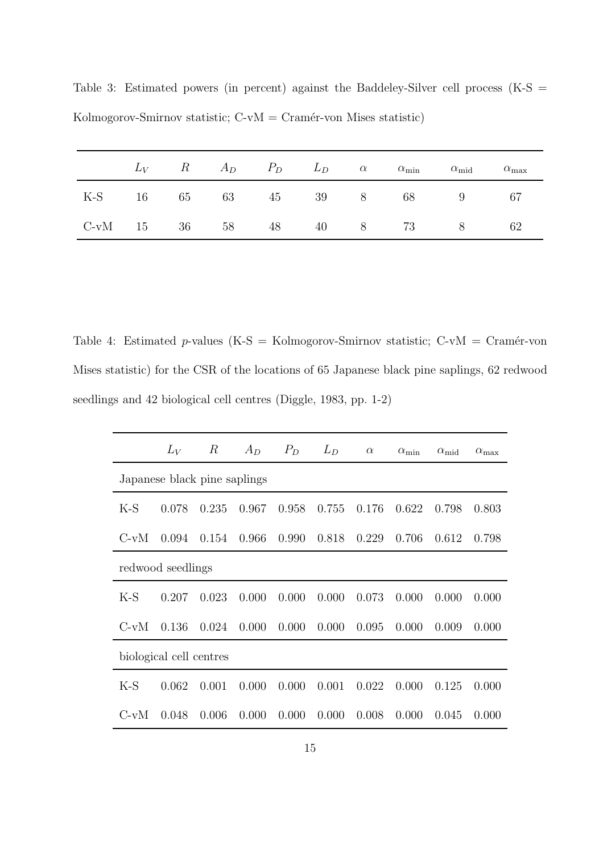|  |  |  |  | $L_V$ R $A_D$ $P_D$ $L_D$ $\alpha$ $\alpha_{\min}$ $\alpha_{\text{mid}}$ $\alpha_{\max}$ |      |
|--|--|--|--|------------------------------------------------------------------------------------------|------|
|  |  |  |  | K-S 16 65 63 45 39 8 68 9 67                                                             |      |
|  |  |  |  | C-vM 15 36 58 48 40 8 73 8                                                               | - 62 |

Table 3: Estimated powers (in percent) against the Baddeley-Silver cell process (K-S = Kolmogorov-Smirnov statistic;  $C-vM = Cramér-von$  Mises statistic)

Table 4: Estimated p-values (K-S = Kolmogorov-Smirnov statistic;  $C-vM = Cramér-von$ Mises statistic) for the CSR of the locations of 65 Japanese black pine saplings, 62 redwood seedlings and 42 biological cell centres (Diggle, 1983, pp. 1-2)

|                              | $L_V$ | $\boldsymbol{R}$ | $A_D$ | $P_D$ | $L_D$ | $\alpha$ | $\alpha_{\rm min}$ | $\alpha_{\rm mid}$ | $\alpha_{\rm max}$ |  |
|------------------------------|-------|------------------|-------|-------|-------|----------|--------------------|--------------------|--------------------|--|
| Japanese black pine saplings |       |                  |       |       |       |          |                    |                    |                    |  |
| $K-S$                        | 0.078 | 0.235            | 0.967 | 0.958 | 0.755 | 0.176    | 0.622              | 0.798              | 0.803              |  |
| $C-vM$                       | 0.094 | 0.154            | 0.966 | 0.990 | 0.818 | 0.229    | 0.706              | 0.612              | 0.798              |  |
| redwood seedlings            |       |                  |       |       |       |          |                    |                    |                    |  |
| $K-S$                        | 0.207 | 0.023            | 0.000 | 0.000 | 0.000 | 0.073    | 0.000              | 0.000              | 0.000              |  |
| $C-vM$                       | 0.136 | 0.024            | 0.000 | 0.000 | 0.000 | 0.095    | 0.000              | 0.009              | 0.000              |  |
| biological cell centres      |       |                  |       |       |       |          |                    |                    |                    |  |
| $K-S$                        | 0.062 | 0.001            | 0.000 | 0.000 | 0.001 | 0.022    | 0.000              | 0.125              | 0.000              |  |
| $C-vM$                       | 0.048 | 0.006            | 0.000 | 0.000 | 0.000 | 0.008    | 0.000              | 0.045              | 0.000              |  |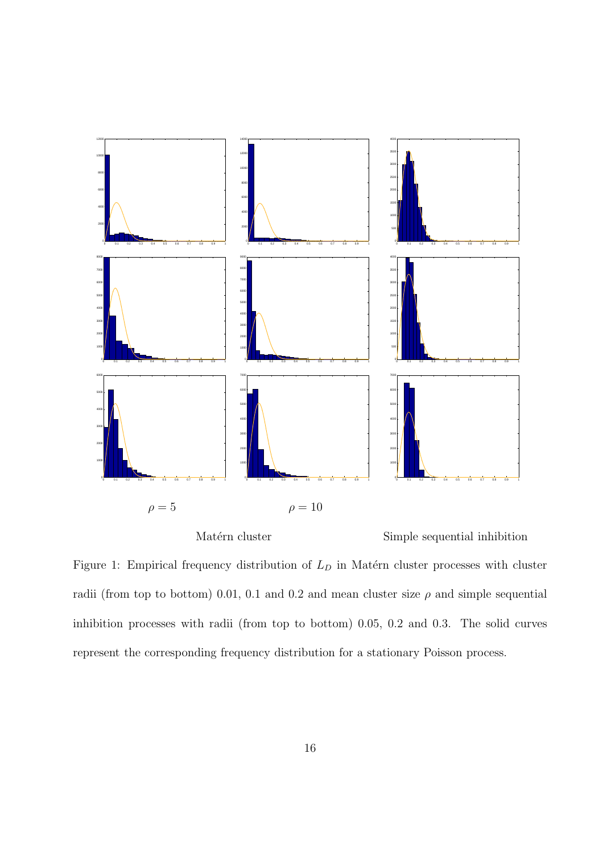

Matérn cluster Simple sequential inhibition

Figure 1: Empirical frequency distribution of  $L<sub>D</sub>$  in Matérn cluster processes with cluster radii (from top to bottom) 0.01, 0.1 and 0.2 and mean cluster size  $\rho$  and simple sequential inhibition processes with radii (from top to bottom) 0.05, 0.2 and 0.3. The solid curves represent the corresponding frequency distribution for a stationary Poisson process.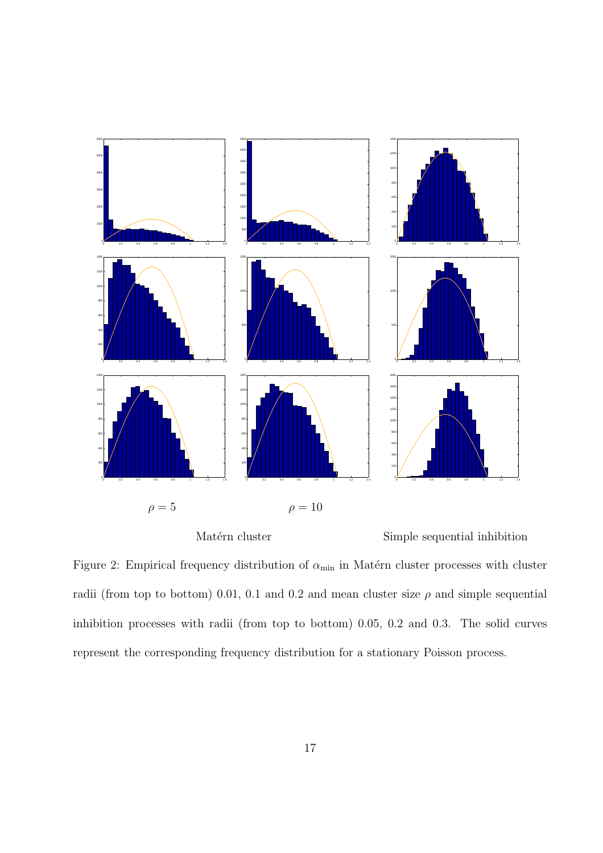

Matérn cluster Simple sequential inhibition

Figure 2: Empirical frequency distribution of  $\alpha_{\min}$  in Matérn cluster processes with cluster radii (from top to bottom) 0.01, 0.1 and 0.2 and mean cluster size  $\rho$  and simple sequential inhibition processes with radii (from top to bottom) 0.05, 0.2 and 0.3. The solid curves represent the corresponding frequency distribution for a stationary Poisson process.